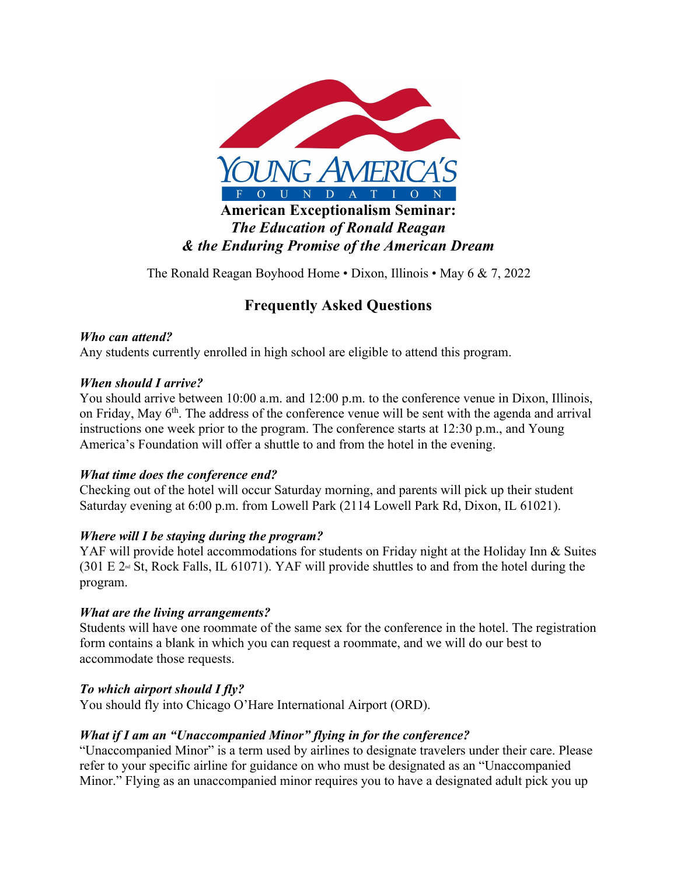

The Ronald Reagan Boyhood Home • Dixon, Illinois • May 6 & 7, 2022

# **Frequently Asked Questions**

# *Who can attend?*

Any students currently enrolled in high school are eligible to attend this program.

#### *When should I arrive?*

You should arrive between 10:00 a.m. and 12:00 p.m. to the conference venue in Dixon, Illinois, on Friday, May 6<sup>th</sup>. The address of the conference venue will be sent with the agenda and arrival instructions one week prior to the program. The conference starts at 12:30 p.m., and Young America's Foundation will offer a shuttle to and from the hotel in the evening.

#### *What time does the conference end?*

Checking out of the hotel will occur Saturday morning, and parents will pick up their student Saturday evening at 6:00 p.m. from Lowell Park (2114 Lowell Park Rd, Dixon, IL 61021).

# *Where will I be staying during the program?*

YAF will provide hotel accommodations for students on Friday night at the Holiday Inn & Suites  $(301 \text{ E } 2<sup>nd</sup>$  St, Rock Falls, IL 61071). YAF will provide shuttles to and from the hotel during the program.

# *What are the living arrangements?*

Students will have one roommate of the same sex for the conference in the hotel. The registration form contains a blank in which you can request a roommate, and we will do our best to accommodate those requests.

# *To which airport should I fly?*

You should fly into Chicago O'Hare International Airport (ORD).

# *What if I am an "Unaccompanied Minor" flying in for the conference?*

"Unaccompanied Minor" is a term used by airlines to designate travelers under their care. Please refer to your specific airline for guidance on who must be designated as an "Unaccompanied Minor." Flying as an unaccompanied minor requires you to have a designated adult pick you up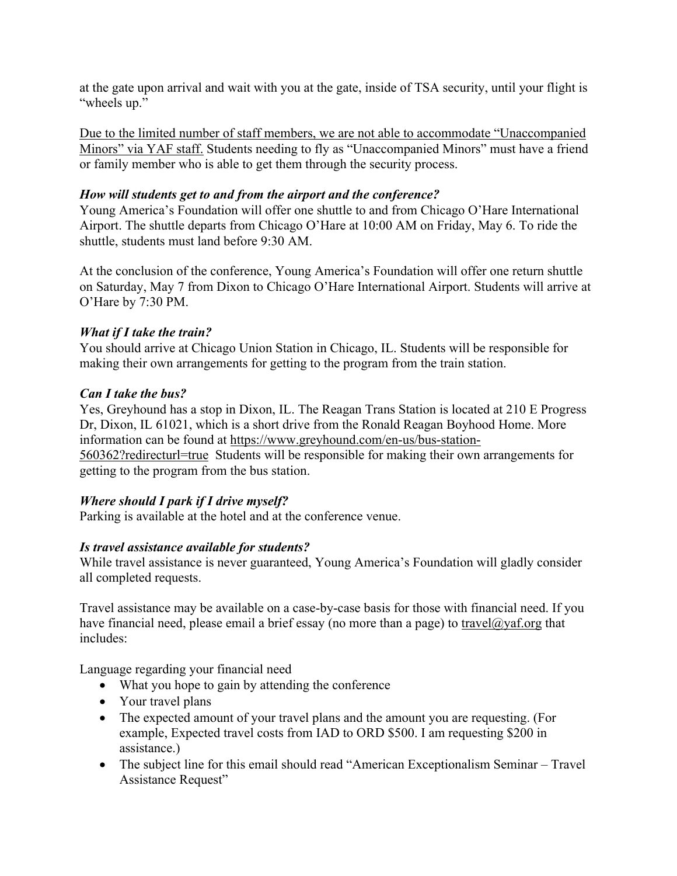at the gate upon arrival and wait with you at the gate, inside of TSA security, until your flight is "wheels up."

Due to the limited number of staff members, we are not able to accommodate "Unaccompanied Minors" via YAF staff. Students needing to fly as "Unaccompanied Minors" must have a friend or family member who is able to get them through the security process.

# *How will students get to and from the airport and the conference?*

Young America's Foundation will offer one shuttle to and from Chicago O'Hare International Airport. The shuttle departs from Chicago O'Hare at 10:00 AM on Friday, May 6. To ride the shuttle, students must land before 9:30 AM.

At the conclusion of the conference, Young America's Foundation will offer one return shuttle on Saturday, May 7 from Dixon to Chicago O'Hare International Airport. Students will arrive at O'Hare by 7:30 PM.

# *What if I take the train?*

You should arrive at Chicago Union Station in Chicago, IL. Students will be responsible for making their own arrangements for getting to the program from the train station.

# *Can I take the bus?*

Yes, Greyhound has a stop in Dixon, IL. The Reagan Trans Station is located at 210 E Progress Dr, Dixon, IL 61021, which is a short drive from the Ronald Reagan Boyhood Home. More information can be found at https://www.greyhound.com/en-us/bus-station-560362?redirecturl=true Students will be responsible for making their own arrangements for getting to the program from the bus station.

# *Where should I park if I drive myself?*

Parking is available at the hotel and at the conference venue.

# *Is travel assistance available for students?*

While travel assistance is never guaranteed, Young America's Foundation will gladly consider all completed requests.

Travel assistance may be available on a case-by-case basis for those with financial need. If you have financial need, please email a brief essay (no more than a page) to travel@yaf.org that includes:

Language regarding your financial need

- What you hope to gain by attending the conference
- Your travel plans
- The expected amount of your travel plans and the amount you are requesting. (For example, Expected travel costs from IAD to ORD \$500. I am requesting \$200 in assistance.)
- The subject line for this email should read "American Exceptionalism Seminar Travel Assistance Request"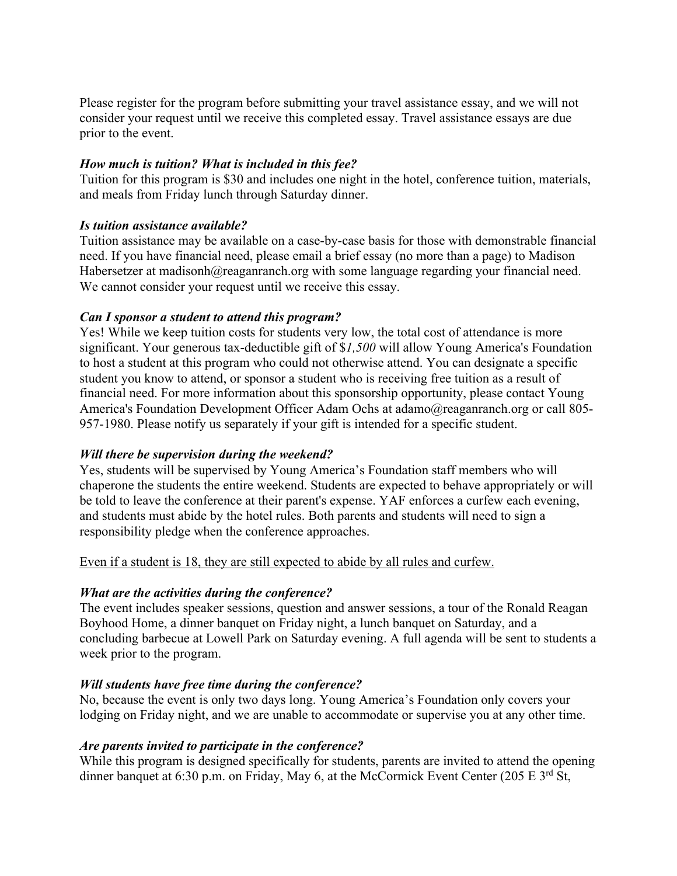Please register for the program before submitting your travel assistance essay, and we will not consider your request until we receive this completed essay. Travel assistance essays are due prior to the event.

## *How much is tuition? What is included in this fee?*

Tuition for this program is \$30 and includes one night in the hotel, conference tuition, materials, and meals from Friday lunch through Saturday dinner.

#### *Is tuition assistance available?*

Tuition assistance may be available on a case-by-case basis for those with demonstrable financial need. If you have financial need, please email a brief essay (no more than a page) to Madison Habersetzer at madisonh@reaganranch.org with some language regarding your financial need. We cannot consider your request until we receive this essay.

#### *Can I sponsor a student to attend this program?*

Yes! While we keep tuition costs for students very low, the total cost of attendance is more significant. Your generous tax-deductible gift of \$*1,500* will allow Young America's Foundation to host a student at this program who could not otherwise attend. You can designate a specific student you know to attend, or sponsor a student who is receiving free tuition as a result of financial need. For more information about this sponsorship opportunity, please contact Young America's Foundation Development Officer Adam Ochs at adamo@reaganranch.org or call 805-957-1980. Please notify us separately if your gift is intended for a specific student.

# *Will there be supervision during the weekend?*

Yes, students will be supervised by Young America's Foundation staff members who will chaperone the students the entire weekend. Students are expected to behave appropriately or will be told to leave the conference at their parent's expense. YAF enforces a curfew each evening, and students must abide by the hotel rules. Both parents and students will need to sign a responsibility pledge when the conference approaches.

Even if a student is 18, they are still expected to abide by all rules and curfew.

# *What are the activities during the conference?*

The event includes speaker sessions, question and answer sessions, a tour of the Ronald Reagan Boyhood Home, a dinner banquet on Friday night, a lunch banquet on Saturday, and a concluding barbecue at Lowell Park on Saturday evening. A full agenda will be sent to students a week prior to the program.

# *Will students have free time during the conference?*

No, because the event is only two days long. Young America's Foundation only covers your lodging on Friday night, and we are unable to accommodate or supervise you at any other time.

# *Are parents invited to participate in the conference?*

While this program is designed specifically for students, parents are invited to attend the opening dinner banquet at 6:30 p.m. on Friday, May 6, at the McCormick Event Center (205 E 3<sup>rd</sup> St,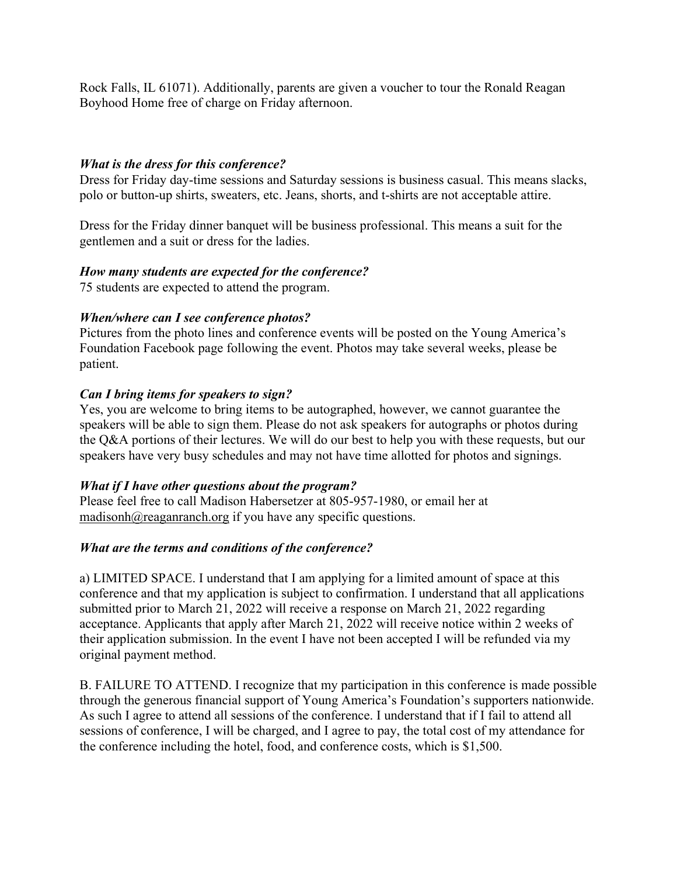Rock Falls, IL 61071). Additionally, parents are given a voucher to tour the Ronald Reagan Boyhood Home free of charge on Friday afternoon.

## *What is the dress for this conference?*

Dress for Friday day-time sessions and Saturday sessions is business casual. This means slacks, polo or button-up shirts, sweaters, etc. Jeans, shorts, and t-shirts are not acceptable attire.

Dress for the Friday dinner banquet will be business professional. This means a suit for the gentlemen and a suit or dress for the ladies.

#### *How many students are expected for the conference?*

75 students are expected to attend the program.

#### *When/where can I see conference photos?*

Pictures from the photo lines and conference events will be posted on the Young America's Foundation Facebook page following the event. Photos may take several weeks, please be patient.

#### *Can I bring items for speakers to sign?*

Yes, you are welcome to bring items to be autographed, however, we cannot guarantee the speakers will be able to sign them. Please do not ask speakers for autographs or photos during the Q&A portions of their lectures. We will do our best to help you with these requests, but our speakers have very busy schedules and may not have time allotted for photos and signings.

#### *What if I have other questions about the program?*

Please feel free to call Madison Habersetzer at 805-957-1980, or email her at madisonh@reaganranch.org if you have any specific questions.

# *What are the terms and conditions of the conference?*

a) LIMITED SPACE. I understand that I am applying for a limited amount of space at this conference and that my application is subject to confirmation. I understand that all applications submitted prior to March 21, 2022 will receive a response on March 21, 2022 regarding acceptance. Applicants that apply after March 21, 2022 will receive notice within 2 weeks of their application submission. In the event I have not been accepted I will be refunded via my original payment method.

B. FAILURE TO ATTEND. I recognize that my participation in this conference is made possible through the generous financial support of Young America's Foundation's supporters nationwide. As such I agree to attend all sessions of the conference. I understand that if I fail to attend all sessions of conference, I will be charged, and I agree to pay, the total cost of my attendance for the conference including the hotel, food, and conference costs, which is \$1,500.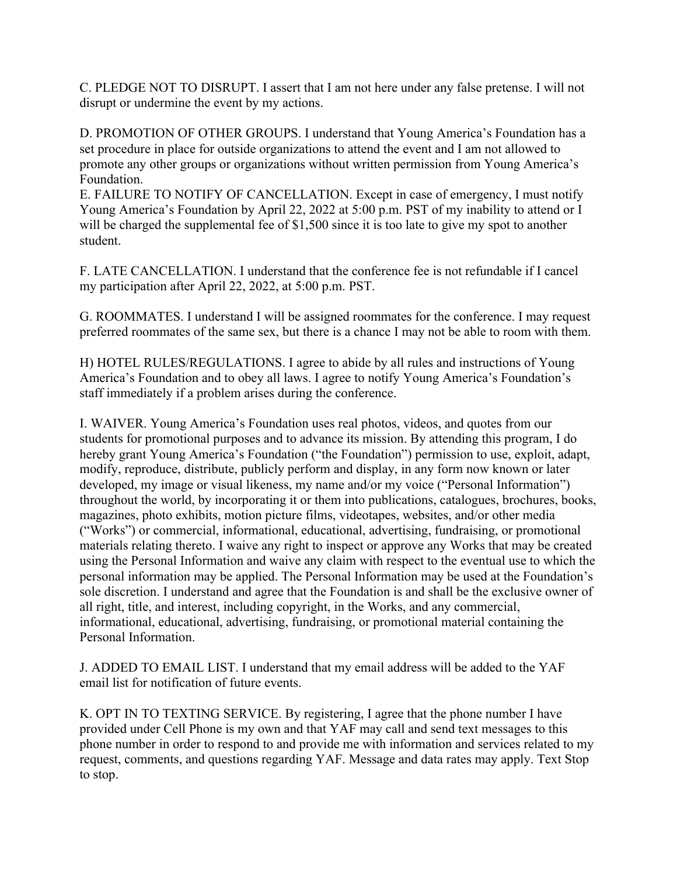C. PLEDGE NOT TO DISRUPT. I assert that I am not here under any false pretense. I will not disrupt or undermine the event by my actions.

D. PROMOTION OF OTHER GROUPS. I understand that Young America's Foundation has a set procedure in place for outside organizations to attend the event and I am not allowed to promote any other groups or organizations without written permission from Young America's Foundation.

E. FAILURE TO NOTIFY OF CANCELLATION. Except in case of emergency, I must notify Young America's Foundation by April 22, 2022 at 5:00 p.m. PST of my inability to attend or I will be charged the supplemental fee of \$1,500 since it is too late to give my spot to another student.

F. LATE CANCELLATION. I understand that the conference fee is not refundable if I cancel my participation after April 22, 2022, at 5:00 p.m. PST.

G. ROOMMATES. I understand I will be assigned roommates for the conference. I may request preferred roommates of the same sex, but there is a chance I may not be able to room with them.

H) HOTEL RULES/REGULATIONS. I agree to abide by all rules and instructions of Young America's Foundation and to obey all laws. I agree to notify Young America's Foundation's staff immediately if a problem arises during the conference.

I. WAIVER. Young America's Foundation uses real photos, videos, and quotes from our students for promotional purposes and to advance its mission. By attending this program, I do hereby grant Young America's Foundation ("the Foundation") permission to use, exploit, adapt, modify, reproduce, distribute, publicly perform and display, in any form now known or later developed, my image or visual likeness, my name and/or my voice ("Personal Information") throughout the world, by incorporating it or them into publications, catalogues, brochures, books, magazines, photo exhibits, motion picture films, videotapes, websites, and/or other media ("Works") or commercial, informational, educational, advertising, fundraising, or promotional materials relating thereto. I waive any right to inspect or approve any Works that may be created using the Personal Information and waive any claim with respect to the eventual use to which the personal information may be applied. The Personal Information may be used at the Foundation's sole discretion. I understand and agree that the Foundation is and shall be the exclusive owner of all right, title, and interest, including copyright, in the Works, and any commercial, informational, educational, advertising, fundraising, or promotional material containing the Personal Information.

J. ADDED TO EMAIL LIST. I understand that my email address will be added to the YAF email list for notification of future events.

K. OPT IN TO TEXTING SERVICE. By registering, I agree that the phone number I have provided under Cell Phone is my own and that YAF may call and send text messages to this phone number in order to respond to and provide me with information and services related to my request, comments, and questions regarding YAF. Message and data rates may apply. Text Stop to stop.